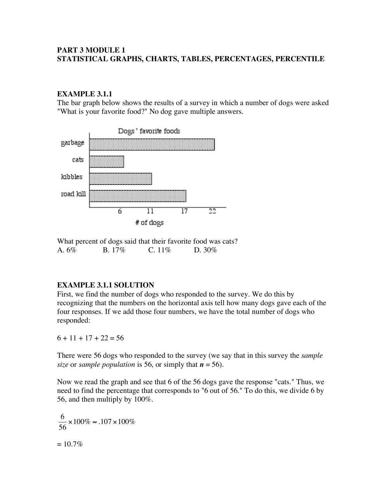### **PART 3 MODULE 1 STATISTICAL GRAPHS, CHARTS, TABLES, PERCENTAGES, PERCENTILE**

### **EXAMPLE 3.1.1**

The bar graph below shows the results of a survey in which a number of dogs were asked "What is your favorite food?" No dog gave multiple answers.



What percent of dogs said that their favorite food was cats? A. 6% B. 17% C. 11% D. 30%

### **EXAMPLE 3.1.1 SOLUTION**

First, we find the number of dogs who responded to the survey. We do this by recognizing that the numbers on the horizontal axis tell how many dogs gave each of the four responses. If we add those four numbers, we have the total number of dogs who responded:

 $6 + 11 + 17 + 22 = 56$ 

There were 56 dogs who responded to the survey (we say that in this survey the *sample size* or *sample population* is 56, or simply that  $n = 56$ .

Now we read the graph and see that 6 of the 56 dogs gave the response "cats." Thus, we need to find the percentage that corresponds to "6 out of 56." To do this, we divide 6 by 56, and then multiply by 100%.

6 56  $\times 100\% \approx .107 \times 100\%$  $= 10.7\%$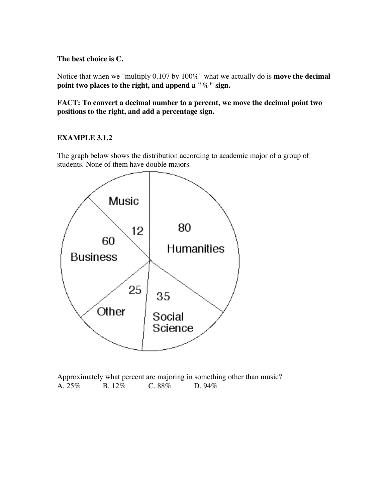### **The best choice is C.**

Notice that when we "multiply 0.107 by 100%" what we actually do is **move the decimal point two places to the right, and append a "%" sign.**

**FACT: To convert a decimal number to a percent, we move the decimal point two positions to the right, and add a percentage sign.**

### **EXAMPLE 3.1.2**

The graph below shows the distribution according to academic major of a group of students. None of them have double majors.



Approximately what percent are majoring in something other than music? A. 25% B. 12% C. 88% D. 94%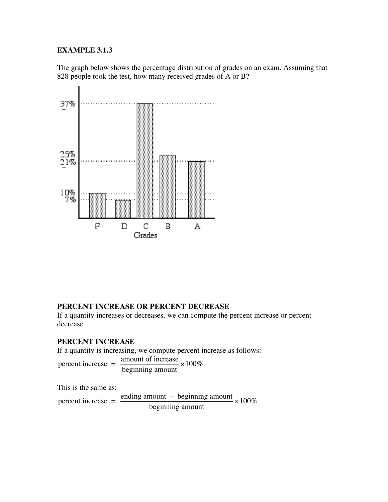### **EXAMPLE 3.1.3**

The graph below shows the percentage distribution of grades on an exam. Assuming that 828 people took the test, how many received grades of A or B?



### **PERCENT INCREASE OR PERCENT DECREASE**

If a quantity increases or decreases, we can compute the percent increase or percent decrease.

#### **PERCENT INCREASE**

If a quantity is increasing, we compute percent increase as follows:

percent increase =  $\frac{\text{amount of increase}}{\text{100\%}} \times 100\%$ beginning amount

This is the same as:

percent increase = ending amount  $-$  beginning amount  $\times 100\%$ beginning amount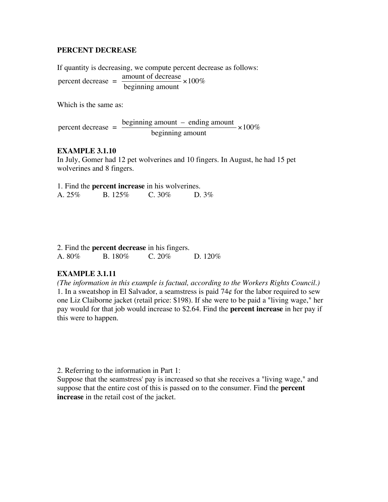#### **PERCENT DECREASE**

If quantity is decreasing, we compute percent decrease as follows: percent decrease = amount of decrease beginning amount  $\times 100\%$ 

Which is the same as:

percent decrease  $=$   $\frac{\text{beginning amount}}{1.1} - \text{ending amount}} \times 100\%$ beginning amount

### **EXAMPLE 3.1.10**

In July, Gomer had 12 pet wolverines and 10 fingers. In August, he had 15 pet wolverines and 8 fingers.

|        | 1. Find the <b>percent increase</b> in his wolverines. |         |          |
|--------|--------------------------------------------------------|---------|----------|
| A. 25% | $B. 125\%$                                             | C. 30\% | D. $3\%$ |

|        | 2. Find the <b>percent decrease</b> in his fingers. |           |          |
|--------|-----------------------------------------------------|-----------|----------|
| A. 80% | B. 180\%                                            | C. $20\%$ | D. 120\% |

### **EXAMPLE 3.1.11**

*(The information in this example is factual, according to the Workers Rights Council.)* 1. In a sweatshop in El Salvador, a seamstress is paid  $74¢$  for the labor required to sew one Liz Claiborne jacket (retail price: \$198). If she were to be paid a "living wage," her pay would for that job would increase to \$2.64. Find the **percent increase** in her pay if this were to happen.

2. Referring to the information in Part 1:

Suppose that the seamstress' pay is increased so that she receives a "living wage," and suppose that the entire cost of this is passed on to the consumer. Find the **percent increase** in the retail cost of the jacket.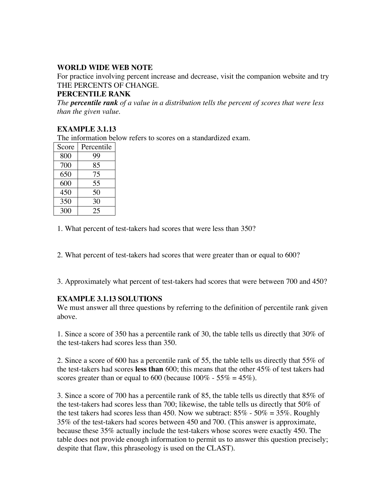# **WORLD WIDE WEB NOTE**

For practice involving percent increase and decrease, visit the companion website and try THE PERCENTS OF CHANGE.

# **PERCENTILE RANK**

*The percentile rank of a value in a distribution tells the percent of scores that were less than the given value.*

# **EXAMPLE 3.1.13**

The information below refers to scores on a standardized exam.

| Score | Percentile |
|-------|------------|
| 800   | 99         |
| 700   | 85         |
| 650   | 75         |
| 600   | 55         |
| 450   | 50         |
| 350   | 30         |
| 300   | 25         |

1. What percent of test-takers had scores that were less than 350?

2. What percent of test-takers had scores that were greater than or equal to 600?

3. Approximately what percent of test-takers had scores that were between 700 and 450?

### **EXAMPLE 3.1.13 SOLUTIONS**

We must answer all three questions by referring to the definition of percentile rank given above.

1. Since a score of 350 has a percentile rank of 30, the table tells us directly that 30% of the test-takers had scores less than 350.

2. Since a score of 600 has a percentile rank of 55, the table tells us directly that 55% of the test-takers had scores **less than** 600; this means that the other 45% of test takers had scores greater than or equal to 600 (because  $100\%$  - 55% = 45%).

3. Since a score of 700 has a percentile rank of 85, the table tells us directly that 85% of the test-takers had scores less than 700; likewise, the table tells us directly that 50% of the test takers had scores less than 450. Now we subtract:  $85\%$  -  $50\% = 35\%$ . Roughly 35% of the test-takers had scores between 450 and 700. (This answer is approximate, because these 35% actually include the test-takers whose scores were exactly 450. The table does not provide enough information to permit us to answer this question precisely; despite that flaw, this phraseology is used on the CLAST).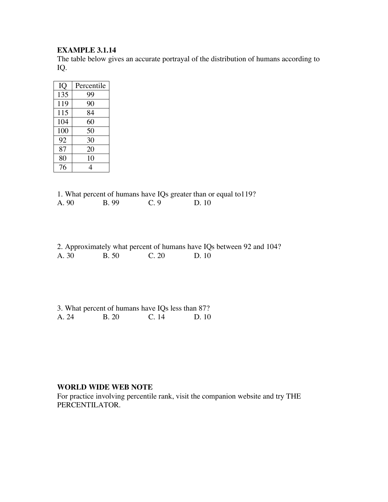### **EXAMPLE 3.1.14**

The table below gives an accurate portrayal of the distribution of humans according to IQ.

| IQ  | Percentile |
|-----|------------|
| 135 | 99         |
| 119 | 90         |
| 115 | 84         |
| 104 | 60         |
| 100 | 50         |
| 92  | 30         |
| 87  | 20         |
| 80  | 10         |
| 76  | 4          |

1. What percent of humans have IQs greater than or equal to119?<br>A. 90 B. 99 C. 9 D. 10  $D. 10$ 

|       |              |       | 2. Approximately what percent of humans have IQs between 92 and 104? |  |
|-------|--------------|-------|----------------------------------------------------------------------|--|
| A. 30 | <b>B.</b> 50 | C. 20 | D. 10                                                                |  |

|       | 3. What percent of humans have IQs less than 87? |       |      |
|-------|--------------------------------------------------|-------|------|
| A. 24 | <b>B.</b> 20                                     | C. 14 | D.10 |

#### **WORLD WIDE WEB NOTE**

For practice involving percentile rank, visit the companion website and try THE PERCENTILATOR.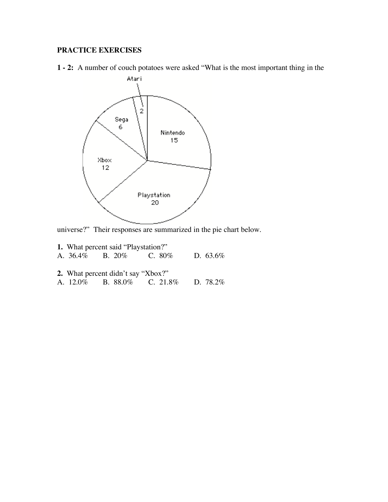# **PRACTICE EXERCISES**

**1 - 2:** A number of couch potatoes were asked "What is the most important thing in the



universe?" Their responses are summarized in the pie chart below.

|  | <b>1.</b> What percent said "Playstation?" |                                             |  |
|--|--------------------------------------------|---------------------------------------------|--|
|  |                                            | A. $36.4\%$ B. $20\%$ C. $80\%$ D. $63.6\%$ |  |
|  |                                            |                                             |  |
|  | 2. What percent didn't say "Xbox?"         |                                             |  |
|  |                                            | A. 12.0% B. 88.0% C. 21.8% D. 78.2%         |  |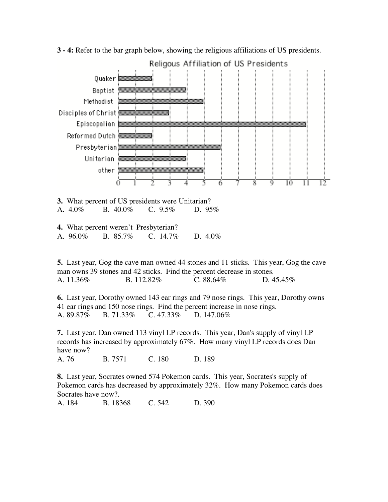

**3 - 4:** Refer to the bar graph below, showing the religious affiliations of US presidents.

**4.** What percent weren't Presbyterian? A. 96.0% B. 85.7% C. 14.7% D. 4.0%

**5.** Last year, Gog the cave man owned 44 stones and 11 sticks. This year, Gog the cave man owns 39 stones and 42 sticks. Find the percent decrease in stones. A. 11.36% B. 112.82% C. 88.64% D. 45.45%

**6.** Last year, Dorothy owned 143 ear rings and 79 nose rings. This year, Dorothy owns 41 ear rings and 150 nose rings. Find the percent increase in nose rings. A. 89.87% B. 71.33% C. 47.33% D. 147.06%

**7.** Last year, Dan owned 113 vinyl LP records. This year, Dan's supply of vinyl LP records has increased by approximately 67%. How many vinyl LP records does Dan have now?

A. 76 B. 7571 C. 180 D. 189

**8.** Last year, Socrates owned 574 Pokemon cards. This year, Socrates's supply of Pokemon cards has decreased by approximately 32%. How many Pokemon cards does Socrates have now?.

A. 184 B. 18368 C. 542 D. 390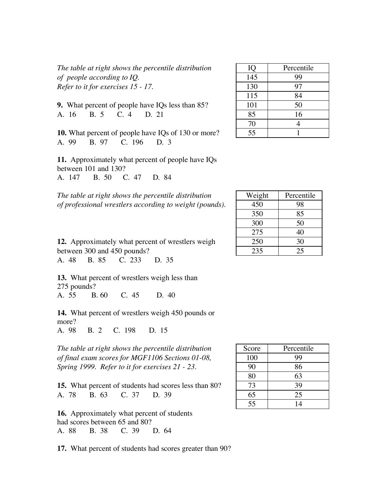*The table* at *right shows the percentile distribution of people according to IQ*. *Refer to it for exercises* 15 - 17.

**9.** What percent of people have IQs less than 85? A. 16 B. 5 C. 4 D. 21 | 85 | 16

**10.** What percent of people have IQs of 130 or more? A. 99 B. 97 C. 196 D. 3

**11.** Approximately what percent of people have IQs between 101 and 130? A. 147 B. 50 C. 47 D. 84

*The table at right shows the percentile distribution of professional wrestlers according to weight (pounds).* 

| IQ  | Percentile |
|-----|------------|
| 145 | 99         |
| 130 | 97         |
| 115 | 84         |
| 101 | 50         |
| 85  | 16         |
| 70  | 4          |
| 55  |            |

| Weight | Percentile |
|--------|------------|
| 450    | 98         |
| 350    | 85         |
| 300    | 50         |
| 275    | 40         |
| 250    | 30         |
| 235    | 25         |

**12.** Approximately what percent of wrestlers weigh between 300 and 450 pounds?

A. 48 B. 85 C. 233 D. 35

**13.** What percent of wrestlers weigh less than 275 pounds? A. 55 B. 60 C. 45 D. 40

**14.** What percent of wrestlers weigh 450 pounds or more? A. 98 B. 2 C. 198 D. 15

*The table at right shows the percentile distribution of final exam scores for MGF1106 Sections* 01-08, *Spring 1999. Refer to it for exercises* 21 - 23.

**15.** What percent of students had scores less than 80? A. 78 B. 63 C. 37 D. 39 65 35

**16.** Approximately what percent of students had scores between 65 and 80? A. 88 B. 38 C. 39 D. 64

**17.** What percent of students had scores greater than 90?

| Score | Percentile |
|-------|------------|
| 100   | 99         |
| 90    | 86         |
| 80    | 63         |
| 73    | 39         |
| 65    | 25         |
| 55    | 14         |